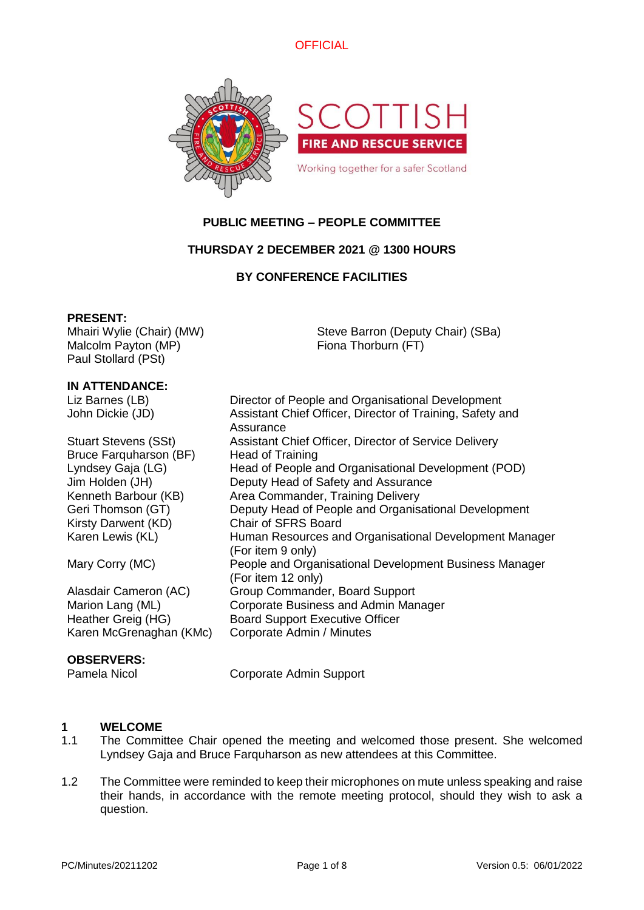



# **PUBLIC MEETING – PEOPLE COMMITTEE**

# **THURSDAY 2 DECEMBER 2021 @ 1300 HOURS**

# **BY CONFERENCE FACILITIES**

## **PRESENT:**

Mhairi Wylie (Chair) (MW) Malcolm Payton (MP) Paul Stollard (PSt)

Steve Barron (Deputy Chair) (SBa) Fiona Thorburn (FT)

## **IN ATTENDANCE:**

| Liz Barnes (LB)             | Director of People and Organisational Development                            |
|-----------------------------|------------------------------------------------------------------------------|
| John Dickie (JD)            | Assistant Chief Officer, Director of Training, Safety and<br>Assurance       |
| <b>Stuart Stevens (SSt)</b> | Assistant Chief Officer, Director of Service Delivery                        |
| Bruce Farquharson (BF)      | <b>Head of Training</b>                                                      |
| Lyndsey Gaja (LG)           | Head of People and Organisational Development (POD)                          |
| Jim Holden (JH)             | Deputy Head of Safety and Assurance                                          |
| Kenneth Barbour (KB)        | Area Commander, Training Delivery                                            |
| Geri Thomson (GT)           | Deputy Head of People and Organisational Development                         |
| Kirsty Darwent (KD)         | <b>Chair of SFRS Board</b>                                                   |
| Karen Lewis (KL)            | Human Resources and Organisational Development Manager<br>(For item 9 only)  |
| Mary Corry (MC)             | People and Organisational Development Business Manager<br>(For item 12 only) |
| Alasdair Cameron (AC)       | Group Commander, Board Support                                               |
| Marion Lang (ML)            | Corporate Business and Admin Manager                                         |
| Heather Greig (HG)          | <b>Board Support Executive Officer</b>                                       |
| Karen McGrenaghan (KMc)     | Corporate Admin / Minutes                                                    |

## **OBSERVERS:**

Pamela Nicol Corporate Admin Support

# **1 WELCOME**

- The Committee Chair opened the meeting and welcomed those present. She welcomed Lyndsey Gaja and Bruce Farquharson as new attendees at this Committee.
- 1.2 The Committee were reminded to keep their microphones on mute unless speaking and raise their hands, in accordance with the remote meeting protocol, should they wish to ask a question.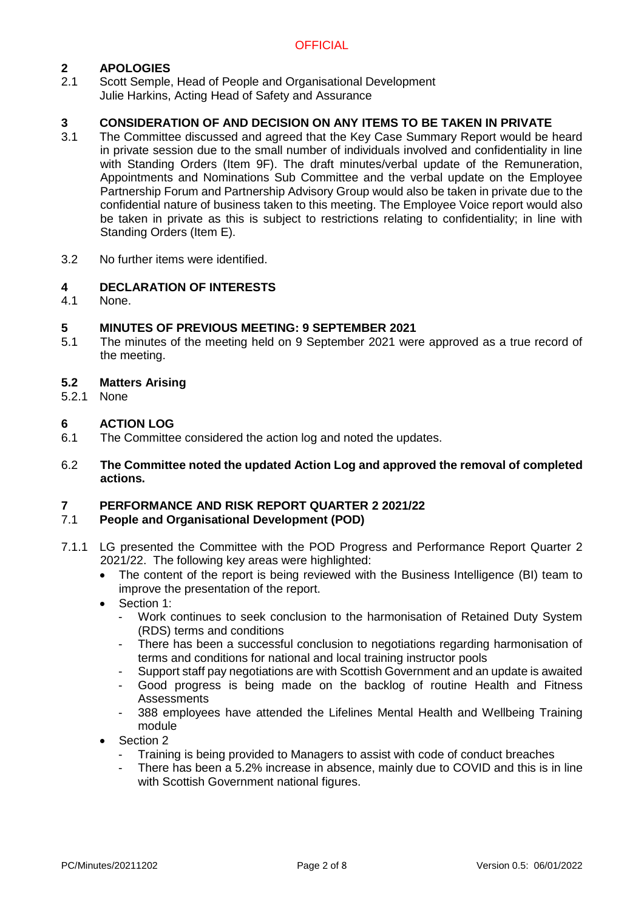# **2 APOLOGIES**

Scott Semple, Head of People and Organisational Development Julie Harkins, Acting Head of Safety and Assurance

## **3 CONSIDERATION OF AND DECISION ON ANY ITEMS TO BE TAKEN IN PRIVATE**

- 3.1 The Committee discussed and agreed that the Key Case Summary Report would be heard in private session due to the small number of individuals involved and confidentiality in line with Standing Orders (Item 9F). The draft minutes/verbal update of the Remuneration, Appointments and Nominations Sub Committee and the verbal update on the Employee Partnership Forum and Partnership Advisory Group would also be taken in private due to the confidential nature of business taken to this meeting. The Employee Voice report would also be taken in private as this is subject to restrictions relating to confidentiality; in line with Standing Orders (Item E).
- 3.2 No further items were identified.

## **4 DECLARATION OF INTERESTS**

4.1 None.

## **5 MINUTES OF PREVIOUS MEETING: 9 SEPTEMBER 2021**

5.1 The minutes of the meeting held on 9 September 2021 were approved as a true record of the meeting.

## **5.2 Matters Arising**

5.2.1 None

# **6 ACTION LOG**

- 6.1 The Committee considered the action log and noted the updates.
- 6.2 **The Committee noted the updated Action Log and approved the removal of completed actions.**

## **7 PERFORMANCE AND RISK REPORT QUARTER 2 2021/22**

## 7.1 **People and Organisational Development (POD)**

- 7.1.1 LG presented the Committee with the POD Progress and Performance Report Quarter 2 2021/22. The following key areas were highlighted:
	- The content of the report is being reviewed with the Business Intelligence (BI) team to improve the presentation of the report.
	- Section 1:
		- Work continues to seek conclusion to the harmonisation of Retained Duty System (RDS) terms and conditions
		- There has been a successful conclusion to negotiations regarding harmonisation of terms and conditions for national and local training instructor pools
		- Support staff pay negotiations are with Scottish Government and an update is awaited
		- Good progress is being made on the backlog of routine Health and Fitness **Assessments**
		- 388 employees have attended the Lifelines Mental Health and Wellbeing Training module
	- Section 2
		- Training is being provided to Managers to assist with code of conduct breaches
		- There has been a 5.2% increase in absence, mainly due to COVID and this is in line with Scottish Government national figures.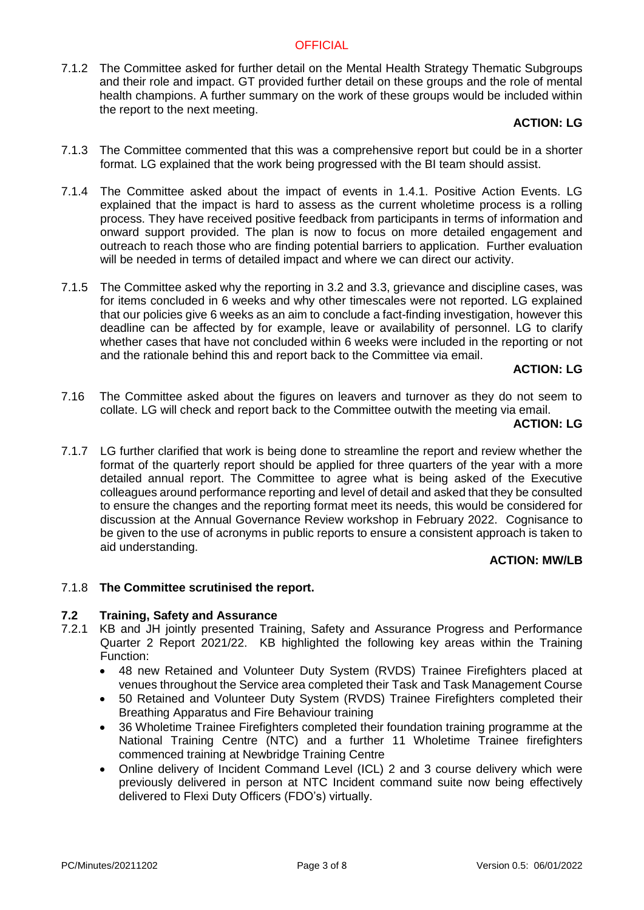7.1.2 The Committee asked for further detail on the Mental Health Strategy Thematic Subgroups and their role and impact. GT provided further detail on these groups and the role of mental health champions. A further summary on the work of these groups would be included within the report to the next meeting.

## **ACTION: LG**

- 7.1.3 The Committee commented that this was a comprehensive report but could be in a shorter format. LG explained that the work being progressed with the BI team should assist.
- 7.1.4 The Committee asked about the impact of events in 1.4.1. Positive Action Events. LG explained that the impact is hard to assess as the current wholetime process is a rolling process. They have received positive feedback from participants in terms of information and onward support provided. The plan is now to focus on more detailed engagement and outreach to reach those who are finding potential barriers to application. Further evaluation will be needed in terms of detailed impact and where we can direct our activity.
- 7.1.5 The Committee asked why the reporting in 3.2 and 3.3, grievance and discipline cases, was for items concluded in 6 weeks and why other timescales were not reported. LG explained that our policies give 6 weeks as an aim to conclude a fact-finding investigation, however this deadline can be affected by for example, leave or availability of personnel. LG to clarify whether cases that have not concluded within 6 weeks were included in the reporting or not and the rationale behind this and report back to the Committee via email.

## **ACTION: LG**

7.16 The Committee asked about the figures on leavers and turnover as they do not seem to collate. LG will check and report back to the Committee outwith the meeting via email.

## **ACTION: LG**

7.1.7 LG further clarified that work is being done to streamline the report and review whether the format of the quarterly report should be applied for three quarters of the year with a more detailed annual report. The Committee to agree what is being asked of the Executive colleagues around performance reporting and level of detail and asked that they be consulted to ensure the changes and the reporting format meet its needs, this would be considered for discussion at the Annual Governance Review workshop in February 2022. Cognisance to be given to the use of acronyms in public reports to ensure a consistent approach is taken to aid understanding.

# **ACTION: MW/LB**

# 7.1.8 **The Committee scrutinised the report.**

## **7.2 Training, Safety and Assurance**

- 7.2.1 KB and JH jointly presented Training, Safety and Assurance Progress and Performance Quarter 2 Report 2021/22. KB highlighted the following key areas within the Training Function:
	- 48 new Retained and Volunteer Duty System (RVDS) Trainee Firefighters placed at venues throughout the Service area completed their Task and Task Management Course
	- 50 Retained and Volunteer Duty System (RVDS) Trainee Firefighters completed their Breathing Apparatus and Fire Behaviour training
	- 36 Wholetime Trainee Firefighters completed their foundation training programme at the National Training Centre (NTC) and a further 11 Wholetime Trainee firefighters commenced training at Newbridge Training Centre
	- Online delivery of Incident Command Level (ICL) 2 and 3 course delivery which were previously delivered in person at NTC Incident command suite now being effectively delivered to Flexi Duty Officers (FDO's) virtually.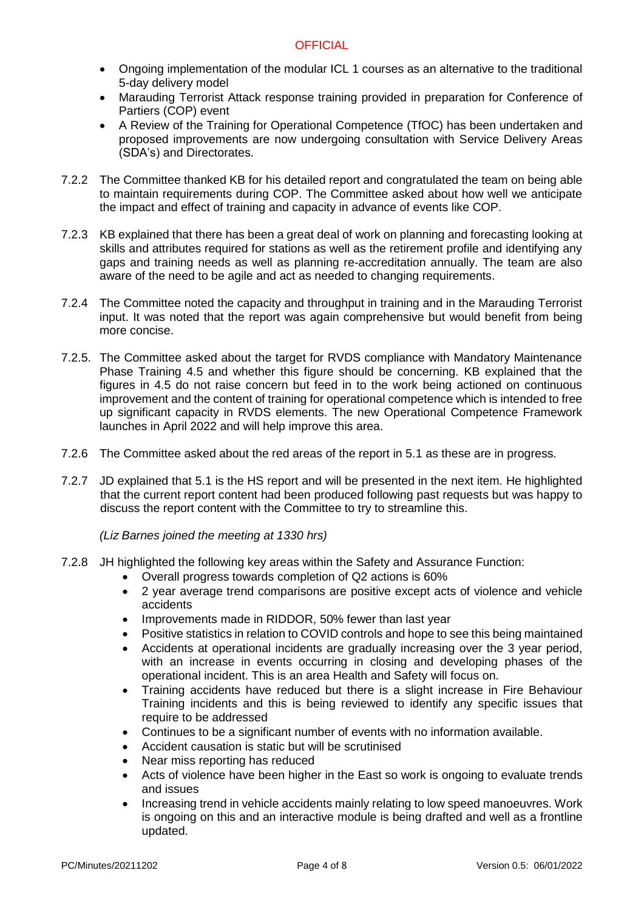- Ongoing implementation of the modular ICL 1 courses as an alternative to the traditional 5-day delivery model
- Marauding Terrorist Attack response training provided in preparation for Conference of Partiers (COP) event
- A Review of the Training for Operational Competence (TfOC) has been undertaken and proposed improvements are now undergoing consultation with Service Delivery Areas (SDA's) and Directorates.
- 7.2.2 The Committee thanked KB for his detailed report and congratulated the team on being able to maintain requirements during COP. The Committee asked about how well we anticipate the impact and effect of training and capacity in advance of events like COP.
- 7.2.3 KB explained that there has been a great deal of work on planning and forecasting looking at skills and attributes required for stations as well as the retirement profile and identifying any gaps and training needs as well as planning re-accreditation annually. The team are also aware of the need to be agile and act as needed to changing requirements.
- 7.2.4 The Committee noted the capacity and throughput in training and in the Marauding Terrorist input. It was noted that the report was again comprehensive but would benefit from being more concise.
- 7.2.5. The Committee asked about the target for RVDS compliance with Mandatory Maintenance Phase Training 4.5 and whether this figure should be concerning. KB explained that the figures in 4.5 do not raise concern but feed in to the work being actioned on continuous improvement and the content of training for operational competence which is intended to free up significant capacity in RVDS elements. The new Operational Competence Framework launches in April 2022 and will help improve this area.
- 7.2.6 The Committee asked about the red areas of the report in 5.1 as these are in progress.
- 7.2.7 JD explained that 5.1 is the HS report and will be presented in the next item. He highlighted that the current report content had been produced following past requests but was happy to discuss the report content with the Committee to try to streamline this.

*(Liz Barnes joined the meeting at 1330 hrs)*

- 7.2.8 JH highlighted the following key areas within the Safety and Assurance Function:
	- Overall progress towards completion of Q2 actions is 60%
	- 2 year average trend comparisons are positive except acts of violence and vehicle accidents
	- Improvements made in RIDDOR, 50% fewer than last year
	- Positive statistics in relation to COVID controls and hope to see this being maintained
	- Accidents at operational incidents are gradually increasing over the 3 year period, with an increase in events occurring in closing and developing phases of the operational incident. This is an area Health and Safety will focus on.
	- Training accidents have reduced but there is a slight increase in Fire Behaviour Training incidents and this is being reviewed to identify any specific issues that require to be addressed
	- Continues to be a significant number of events with no information available.
	- Accident causation is static but will be scrutinised
	- Near miss reporting has reduced
	- Acts of violence have been higher in the East so work is ongoing to evaluate trends and issues
	- Increasing trend in vehicle accidents mainly relating to low speed manoeuvres. Work is ongoing on this and an interactive module is being drafted and well as a frontline updated.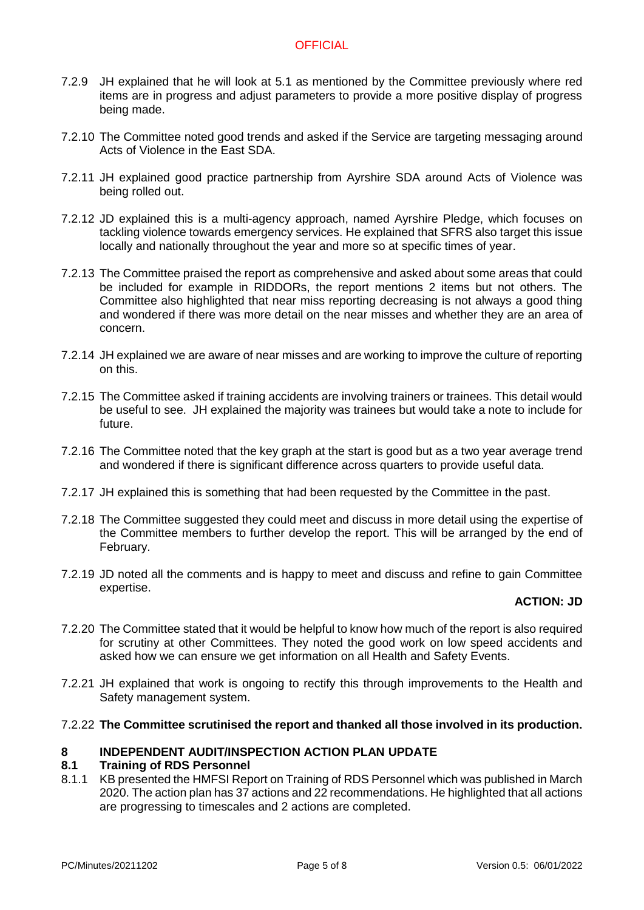- 7.2.9 JH explained that he will look at 5.1 as mentioned by the Committee previously where red items are in progress and adjust parameters to provide a more positive display of progress being made.
- 7.2.10 The Committee noted good trends and asked if the Service are targeting messaging around Acts of Violence in the East SDA.
- 7.2.11 JH explained good practice partnership from Ayrshire SDA around Acts of Violence was being rolled out.
- 7.2.12 JD explained this is a multi-agency approach, named Ayrshire Pledge, which focuses on tackling violence towards emergency services. He explained that SFRS also target this issue locally and nationally throughout the year and more so at specific times of year.
- 7.2.13 The Committee praised the report as comprehensive and asked about some areas that could be included for example in RIDDORs, the report mentions 2 items but not others. The Committee also highlighted that near miss reporting decreasing is not always a good thing and wondered if there was more detail on the near misses and whether they are an area of concern.
- 7.2.14 JH explained we are aware of near misses and are working to improve the culture of reporting on this.
- 7.2.15 The Committee asked if training accidents are involving trainers or trainees. This detail would be useful to see. JH explained the majority was trainees but would take a note to include for future.
- 7.2.16 The Committee noted that the key graph at the start is good but as a two year average trend and wondered if there is significant difference across quarters to provide useful data.
- 7.2.17 JH explained this is something that had been requested by the Committee in the past.
- 7.2.18 The Committee suggested they could meet and discuss in more detail using the expertise of the Committee members to further develop the report. This will be arranged by the end of February.
- 7.2.19 JD noted all the comments and is happy to meet and discuss and refine to gain Committee expertise.

# **ACTION: JD**

- 7.2.20 The Committee stated that it would be helpful to know how much of the report is also required for scrutiny at other Committees. They noted the good work on low speed accidents and asked how we can ensure we get information on all Health and Safety Events.
- 7.2.21 JH explained that work is ongoing to rectify this through improvements to the Health and Safety management system.

## 7.2.22 **The Committee scrutinised the report and thanked all those involved in its production.**

# **8 INDEPENDENT AUDIT/INSPECTION ACTION PLAN UPDATE**

## **8.1 Training of RDS Personnel**

8.1.1 KB presented the HMFSI Report on Training of RDS Personnel which was published in March 2020. The action plan has 37 actions and 22 recommendations. He highlighted that all actions are progressing to timescales and 2 actions are completed.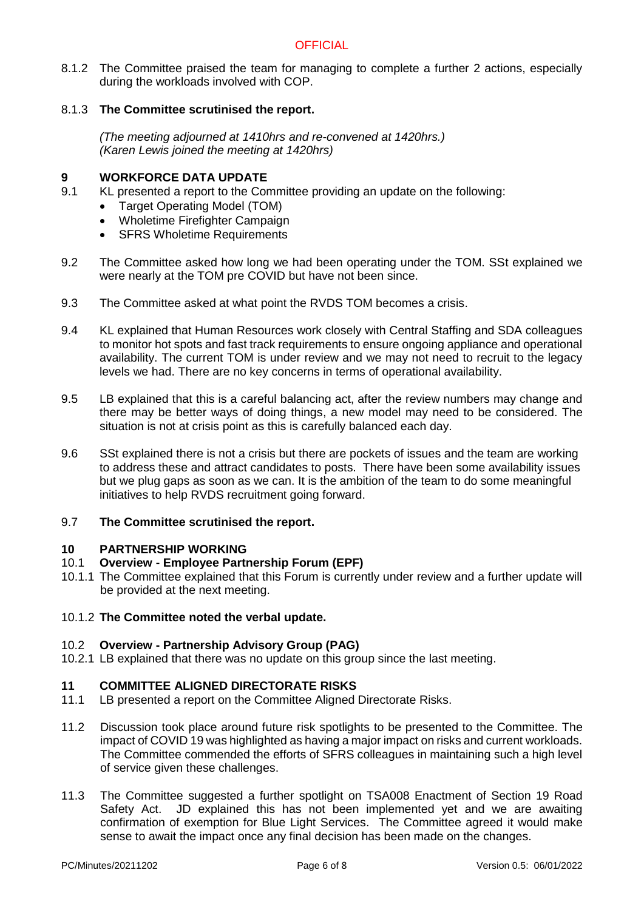8.1.2 The Committee praised the team for managing to complete a further 2 actions, especially during the workloads involved with COP.

# 8.1.3 **The Committee scrutinised the report.**

*(The meeting adjourned at 1410hrs and re-convened at 1420hrs.) (Karen Lewis joined the meeting at 1420hrs)*

# **9 <b>WORKFORCE DATA UPDATE**<br>9.1 KL presented a report to the Cor

- KL presented a report to the Committee providing an update on the following:
	- Target Operating Model (TOM)
	- Wholetime Firefighter Campaign
	- SFRS Wholetime Requirements
- 9.2 The Committee asked how long we had been operating under the TOM. SSt explained we were nearly at the TOM pre COVID but have not been since.
- 9.3 The Committee asked at what point the RVDS TOM becomes a crisis.
- 9.4 KL explained that Human Resources work closely with Central Staffing and SDA colleagues to monitor hot spots and fast track requirements to ensure ongoing appliance and operational availability. The current TOM is under review and we may not need to recruit to the legacy levels we had. There are no key concerns in terms of operational availability.
- 9.5 LB explained that this is a careful balancing act, after the review numbers may change and there may be better ways of doing things, a new model may need to be considered. The situation is not at crisis point as this is carefully balanced each day.
- 9.6 SSt explained there is not a crisis but there are pockets of issues and the team are working to address these and attract candidates to posts. There have been some availability issues but we plug gaps as soon as we can. It is the ambition of the team to do some meaningful initiatives to help RVDS recruitment going forward.

# 9.7 **The Committee scrutinised the report.**

## **10 PARTNERSHIP WORKING**

# 10.1 **Overview - Employee Partnership Forum (EPF)**

10.1.1 The Committee explained that this Forum is currently under review and a further update will be provided at the next meeting.

## 10.1.2 **The Committee noted the verbal update.**

# 10.2 **Overview - Partnership Advisory Group (PAG)**

10.2.1 LB explained that there was no update on this group since the last meeting.

# **11 COMMITTEE ALIGNED DIRECTORATE RISKS**

- 11.1 LB presented a report on the Committee Aligned Directorate Risks.
- 11.2 Discussion took place around future risk spotlights to be presented to the Committee. The impact of COVID 19 was highlighted as having a major impact on risks and current workloads. The Committee commended the efforts of SFRS colleagues in maintaining such a high level of service given these challenges.
- 11.3 The Committee suggested a further spotlight on TSA008 Enactment of Section 19 Road Safety Act. JD explained this has not been implemented yet and we are awaiting confirmation of exemption for Blue Light Services. The Committee agreed it would make sense to await the impact once any final decision has been made on the changes.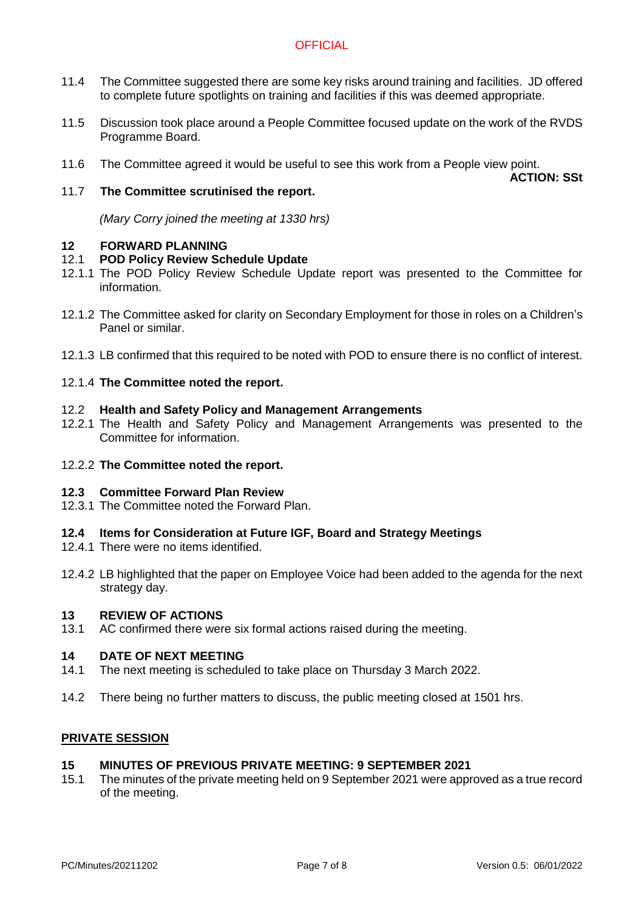- 11.4 The Committee suggested there are some key risks around training and facilities. JD offered to complete future spotlights on training and facilities if this was deemed appropriate.
- 11.5 Discussion took place around a People Committee focused update on the work of the RVDS Programme Board.
- 11.6 The Committee agreed it would be useful to see this work from a People view point.

**ACTION: SSt**

## 11.7 **The Committee scrutinised the report.**

*(Mary Corry joined the meeting at 1330 hrs)*

## **12 FORWARD PLANNING**

## 12.1 **POD Policy Review Schedule Update**

- 12.1.1 The POD Policy Review Schedule Update report was presented to the Committee for information.
- 12.1.2 The Committee asked for clarity on Secondary Employment for those in roles on a Children's Panel or similar.
- 12.1.3 LB confirmed that this required to be noted with POD to ensure there is no conflict of interest.

## 12.1.4 **The Committee noted the report.**

## 12.2 **Health and Safety Policy and Management Arrangements**

- 12.2.1 The Health and Safety Policy and Management Arrangements was presented to the Committee for information.
- 12.2.2 **The Committee noted the report.**

## **12.3 Committee Forward Plan Review**

12.3.1 The Committee noted the Forward Plan.

## **12.4 Items for Consideration at Future IGF, Board and Strategy Meetings**

- 12.4.1 There were no items identified.
- 12.4.2 LB highlighted that the paper on Employee Voice had been added to the agenda for the next strategy day.

## **13 REVIEW OF ACTIONS**

13.1 AC confirmed there were six formal actions raised during the meeting.

## **14 DATE OF NEXT MEETING**

- 14.1 The next meeting is scheduled to take place on Thursday 3 March 2022.
- 14.2 There being no further matters to discuss, the public meeting closed at 1501 hrs.

## **PRIVATE SESSION**

## **15 MINUTES OF PREVIOUS PRIVATE MEETING: 9 SEPTEMBER 2021**

15.1 The minutes of the private meeting held on 9 September 2021 were approved as a true record of the meeting.